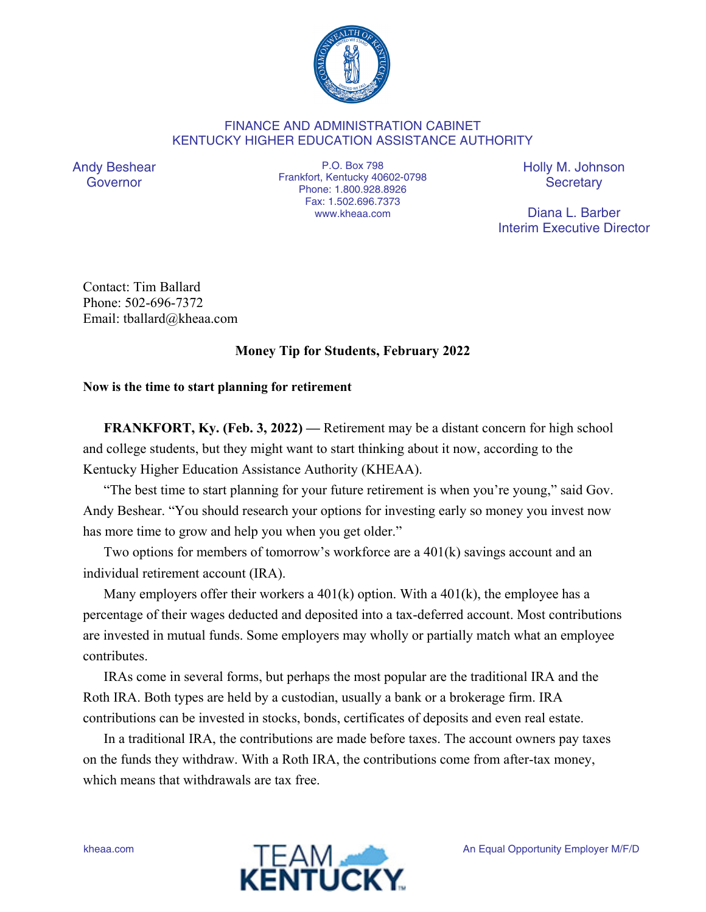

## FINANCE AND ADMINISTRATION CABINET KENTUCKY HIGHER EDUCATION ASSISTANCE AUTHORITY

Andy Beshear Governor

P.O. Box 798 Frankfort, Kentucky 40602-0798 Phone: 1.800.928.8926 Fax: 1.502.696.7373 www.kheaa.com

Holly M. Johnson **Secretary** 

Diana L. Barber Interim Executive Director

Contact: Tim Ballard Phone: 502-696-7372 Email: tballard@kheaa.com

## **Money Tip for Students, February 2022**

## **Now is the time to start planning for retirement**

**FRANKFORT, Ky. (Feb. 3, 2022) —** Retirement may be a distant concern for high school and college students, but they might want to start thinking about it now, according to the Kentucky Higher Education Assistance Authority (KHEAA).

"The best time to start planning for your future retirement is when you're young," said Gov. Andy Beshear. "You should research your options for investing early so money you invest now has more time to grow and help you when you get older."

Two options for members of tomorrow's workforce are a 401(k) savings account and an individual retirement account (IRA).

Many employers offer their workers a  $401(k)$  option. With a  $401(k)$ , the employee has a percentage of their wages deducted and deposited into a tax-deferred account. Most contributions are invested in mutual funds. Some employers may wholly or partially match what an employee contributes.

IRAs come in several forms, but perhaps the most popular are the traditional IRA and the Roth IRA. Both types are held by a custodian, usually a bank or a brokerage firm. IRA contributions can be invested in stocks, bonds, certificates of deposits and even real estate.

In a traditional IRA, the contributions are made before taxes. The account owners pay taxes on the funds they withdraw. With a Roth IRA, the contributions come from after-tax money, which means that withdrawals are tax free.